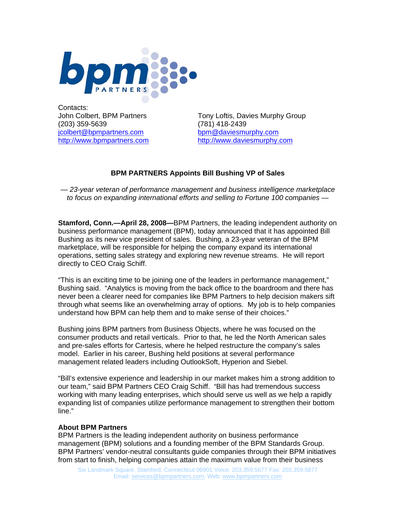

Contacts: (203) 359-5639 (781) 418-2439 [jcolbert@bpmpartners.com](mailto:jcolbert@bpmpartners.com) [bpm@daviesmurphy.com](mailto:bpm@daviesmurphy.com)

John Colbert, BPM Partners Tony Loftis, Davies Murphy Group [http://www.bpmpartners.com](http://www.bpmpartners.com/) [http://www.daviesmurphy.com](http://www.daviesmurphy.com/) 

## **BPM PARTNERS Appoints Bill Bushing VP of Sales**

*— 23-year veteran of performance management and business intelligence marketplace to focus on expanding international efforts and selling to Fortune 100 companies —* 

**Stamford, Conn.—April 28, 2008—**BPM Partners, the leading independent authority on business performance management (BPM), today announced that it has appointed Bill Bushing as its new vice president of sales. Bushing, a 23-year veteran of the BPM marketplace, will be responsible for helping the company expand its international operations, setting sales strategy and exploring new revenue streams. He will report directly to CEO Craig Schiff.

"This is an exciting time to be joining one of the leaders in performance management," Bushing said. "Analytics is moving from the back office to the boardroom and there has never been a clearer need for companies like BPM Partners to help decision makers sift through what seems like an overwhelming array of options. My job is to help companies understand how BPM can help them and to make sense of their choices."

Bushing joins BPM partners from Business Objects, where he was focused on the consumer products and retail verticals. Prior to that, he led the North American sales and pre-sales efforts for Cartesis, where he helped restructure the company's sales model. Earlier in his career, Bushing held positions at several performance management related leaders including OutlookSoft, Hyperion and Siebel.

"Bill's extensive experience and leadership in our market makes him a strong addition to our team," said BPM Partners CEO Craig Schiff. "Bill has had tremendous success working with many leading enterprises, which should serve us well as we help a rapidly expanding list of companies utilize performance management to strengthen their bottom line."

## **About BPM Partners**

BPM Partners is the leading independent authority on business performance management (BPM) solutions and a founding member of the BPM Standards Group. BPM Partners' vendor-neutral consultants guide companies through their BPM initiatives from start to finish, helping companies attain the maximum value from their business